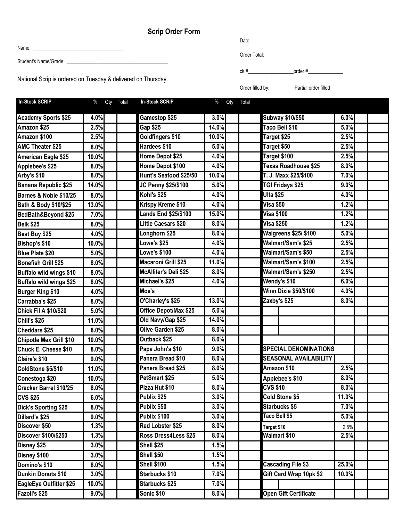## **Scrip Order Form**

Name: \_\_\_\_\_\_\_\_\_\_\_\_\_\_\_\_\_\_\_\_\_\_\_\_\_\_\_\_\_\_\_\_\_\_\_\_

Student's Name/Grade: \_\_\_\_\_\_\_\_\_\_\_\_\_\_\_\_\_\_\_\_\_\_\_\_\_\_\_\_\_\_\_\_\_\_\_\_\_\_\_\_

National Scrip is ordered on Tuesday & delivered on Thursday.

| Date:        |  |  |
|--------------|--|--|
|              |  |  |
| Order Total: |  |  |

 $ck. #$   $order #$ 

Order filled by:\_\_\_\_\_\_\_\_\_\_\_\_\_Partial order filled\_\_\_\_\_\_\_

| <b>In-Stock SCRIP</b>        | $\%$<br>Qty Total | <b>In-Stock SCRIP</b>        | %<br>Qty<br>Total |                              |       |
|------------------------------|-------------------|------------------------------|-------------------|------------------------------|-------|
| <b>Academy Sports \$25</b>   | 4.0%              | Gamestop \$25                | 3.0%              | <b>Subway \$10/\$50</b>      | 6.0%  |
| Amazon \$25                  | 2.5%              | <b>Gap \$25</b>              | 14.0%             | Taco Bell \$10               | 5.0%  |
| Amazon \$100                 | 2.5%              | Goldfingers \$10             | 10.0%             | Target \$25                  | 2.5%  |
| <b>AMC Theater \$25</b>      | 8.0%              | Hardees \$10                 | 5.0%              | Target \$50                  | 2.5%  |
| American Eagle \$25          | 10.0%             | Home Depot \$25              | 4.0%              | Target \$100                 | 2.5%  |
| Applebee's \$25              | 8.0%              | Home Depot \$100             | 4.0%              | Texas Roadhouse \$25         | 8.0%  |
| Arby's \$10                  | 8.0%              | Hunt's Seafood \$25/50       | 10.0%             | T. J. Maxx \$25/\$100        | 7.0%  |
| <b>Banana Republic \$25</b>  | 14.0%             | JC Penny \$25/\$100          | 5.0%              | TGI Fridays \$25             | 9.0%  |
| Barnes & Noble \$10/25       | 8.0%              | Kohl's \$25                  | 4.0%              | <b>Ulta \$25</b>             | 4.0%  |
| Bath & Body \$10/\$25        | 13.0%             | Krispy Kreme \$10            | 4.0%              | <b>Visa \$50</b>             | 1.2%  |
| BedBath&Beyond \$25          | 7.0%              | <b>Lands End \$25/\$100</b>  | 15.0%             | <b>Visa \$100</b>            | 1.2%  |
| <b>Belk \$25</b>             | 8.0%              | Little Caesars \$20          | 8.0%              | <b>Visa \$250</b>            | 1.2%  |
| Best Buy \$25                | 4.0%              | Longhorn \$25                | 8.0%              | <b>Walgreens \$25/ \$100</b> | 5.0%  |
| Bishop's \$10                | 10.0%             | Lowe's \$25                  | 4.0%              | Walmart/Sam's \$25           | 2.5%  |
| <b>Blue Plate \$20</b>       | 5.0%              | <b>Lowe's \$100</b>          | 4.0%              | <b>Walmart/Sam's \$50</b>    | 2.5%  |
| <b>Bonefish Grill \$25</b>   | 8.0%              | Macaroni Grill \$25          | 11.0%             | Walmart/Sam's \$100          | 2.5%  |
| Buffalo wild wings \$10      | 8.0%              | <b>McAlliter's Deli \$25</b> | 8.0%              | Walmart/Sam's \$250          | 2.5%  |
| Buffalo wild wings \$25      | 8.0%              | Michael's \$25               | 4.0%              | Wendy's \$10                 | 6.0%  |
| <b>Burger King \$10</b>      | 4.0%              | Moe's                        |                   | Winn Dixie \$50/\$100        | 4.0%  |
| Carrabba's \$25              | 8.0%              | O'Charley's \$25             | 13.0%             | Zaxby's \$25                 | 8.0%  |
| <b>Chick Fil A \$10/\$20</b> | 5.0%              | Office Depot/Max \$25        | 5.0%              |                              |       |
| Chili's \$25                 | 11.0%             | Old Navy/Gap \$25            | 14.0%             |                              |       |
| Cheddars \$25                | 8.0%              | Olive Garden \$25            | 8.0%              |                              |       |
| Chipotle Mex Grill \$10      | 10.0%             | Outback \$25                 | 8.0%              |                              |       |
| Chuck E. Cheese \$10         | 8.0%              | Papa John's \$10             | 9.0%              | <b>SPECIAL DENOMINATIONS</b> |       |
| Claire's \$10                | 9.0%              | Panera Bread \$10            | 8.0%              | <b>SEASONAL AVAILABILITY</b> |       |
| ColdStone \$5/\$10           | 11.0%             | Panera Bread \$25            | 8.0%              | Amazon \$10                  | 2.5%  |
| Conestoga \$20               | 10.0%             | PetSmart \$25                | 5.0%              | Applebee's \$10              | 8.0%  |
| Cracker Barrel \$10/25       | 8.0%              | Pizza Hut \$10               | 8.0%              | <b>CVS \$10</b>              | 8.0%  |
| <b>CVS \$25</b>              | 6.0%              | Publix \$25                  | 3.0%              | Cold Stone \$5               | 11.0% |
| Dick's Sporting \$25         | 8.0%              | Publix \$50                  | 3.0%              | <b>Starbucks \$5</b>         | 7.0%  |
| Dillard's \$25               | 9.0%              | Publix \$100                 | 3.0%              | Taco Bell \$5                | 5.0%  |
| Discover \$50                | 1.3%              | Red Lobster \$25             | 8.0%              | Target \$10                  | 2.5%  |
| <b>Discover \$100/\$250</b>  | 1.3%              | Ross Dress4Less \$25         | 8.0%              | Walmart \$10                 | 2.5%  |
| Disney \$25                  | 3.0%              | Shell \$25                   | 1.5%              |                              |       |
| Disney \$100                 | 3.0%              | <b>Shell \$50</b>            | 1.5%              |                              |       |
| Domino's \$10                | 8.0%              | <b>Shell \$100</b>           | 1.5%              | <b>Cascading File \$3</b>    | 25.0% |
| Dunkin Donuts \$10           | 3.0%              | Starbucks \$10               | 7.0%              | Gift Card Wrap 10pk \$2      | 10.0% |
| EagleEye Outfitter \$25      | 10.0%             | Starbucks \$25               | 7.0%              |                              |       |
| Fazoli's \$25                | $9.0\%$           | Sonic \$10                   | 8.0%              | Open Gift Certificate        |       |